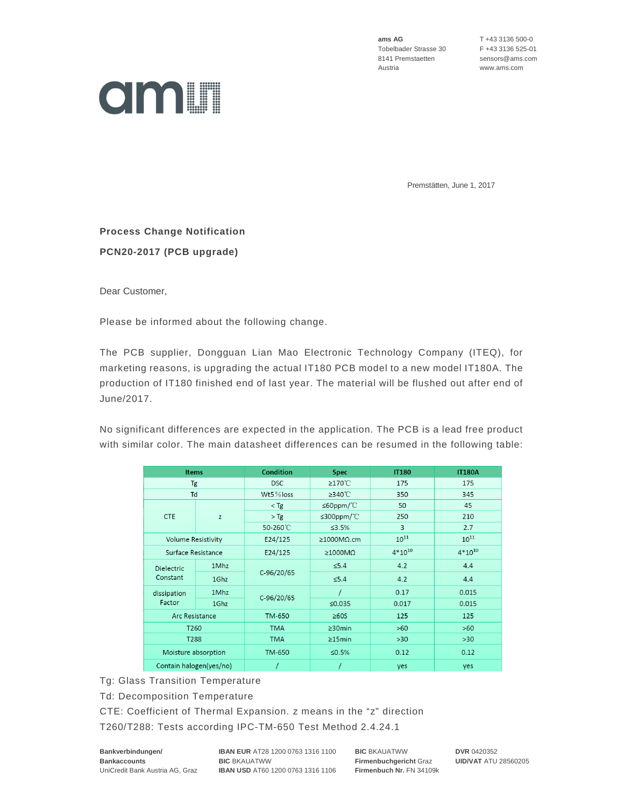**ams AG** T +43 3136 500-0 Tobelbader Strasse 30 F +43 3136 525-01 8141 Premstaetten sensors@ams.com Austria www.ams.com



Premstätten, June 1, 2017

## **Process Change Notification PCN20-2017 (PCB upgrade)**

Dear Customer,

Please be informed about the following change.

The PCB supplier, Dongguan Lian Mao Electronic Technology Company (ITEQ), for marketing reasons, is upgrading the actual IT180 PCB model to a new model IT180A. The production of IT180 finished end of last year. The material will be flushed out after end of June/2017.

No significant differences are expected in the application. The PCB is a lead free product with similar color. The main datasheet differences can be resumed in the following table:

| <b>Items</b>                  |      | <b>Condition</b> | <b>Spec</b>               | <b>IT180</b> | <b>IT180A</b> |
|-------------------------------|------|------------------|---------------------------|--------------|---------------|
| Tg                            |      | <b>DSC</b>       | ≥170°C                    | 175          | 175           |
| Td                            |      | $Wt5\%$ loss     | $≥340^{\circ}$ C          | 350          | 345           |
| <b>CTE</b>                    | z    | $<$ Tg           | ≤60ppm/ $°C$              | 50           | 45            |
|                               |      | $>$ Tg           | $\leq$ 300ppm/°C          | 250          | 210           |
|                               |      | 50-260°C         | ≤3.5%                     | 3            | 2.7           |
| <b>Volume Resistivity</b>     |      | E24/125          | $\geq$ 1000M $\Omega$ .cm | $10^{11}$    | $10^{11}$     |
| Surface Resistance            |      | E24/125          | $\geq 1000M\Omega$        | $4*10^{10}$  | $4*10^{10}$   |
| <b>Dielectric</b><br>Constant | 1Mhz | $C-96/20/65$     | $\leq 5.4$                | 4.2          | 4.4           |
|                               | 1Ghz |                  | $\leq 5.4$                | 4.2          | 4.4           |
| dissipation<br>Factor         | 1Mhz | C-96/20/65       |                           | 0.17         | 0.015         |
|                               | 1Ghz |                  | ≤0.035                    | 0.017        | 0.015         |
| Arc Resistance                |      | <b>TM-650</b>    | $\geq 60S$                | 125          | 125           |
| T <sub>260</sub>              |      | <b>TMA</b>       | $\geq$ 30min              | $>60$        | $>60$         |
| T288                          |      | <b>TMA</b>       | $\geq$ 15min              | $>30$        | $>30$         |
| Moisture absorption           |      | <b>TM-650</b>    | ≤0.5%                     | 0.12         | 0.12          |
| Contain halogen(yes/no)       |      |                  |                           | yes          | yes           |

Tg: Glass Transition Temperature

Td: Decomposition Temperature

CTE: Coefficient of Thermal Expansion. z means in the "z" direction

T260/T288: Tests according IPC-TM-650 Test Method 2.4.24.1

**Bankverbindungen/ IBAN EUR** AT28 1200 0763 1316 1100 **BIC** BKAUATWW **DVR** 0420352 **Bankaccounts BIC** BKAUATWW **Firmenbuchgericht** Graz **UID/VAT** ATU 28560205 UniCredit Bank Austria AG, Graz **IBAN USD** AT60 1200 0763 1316 1106 **Firmenbuch Nr.** FN 34109k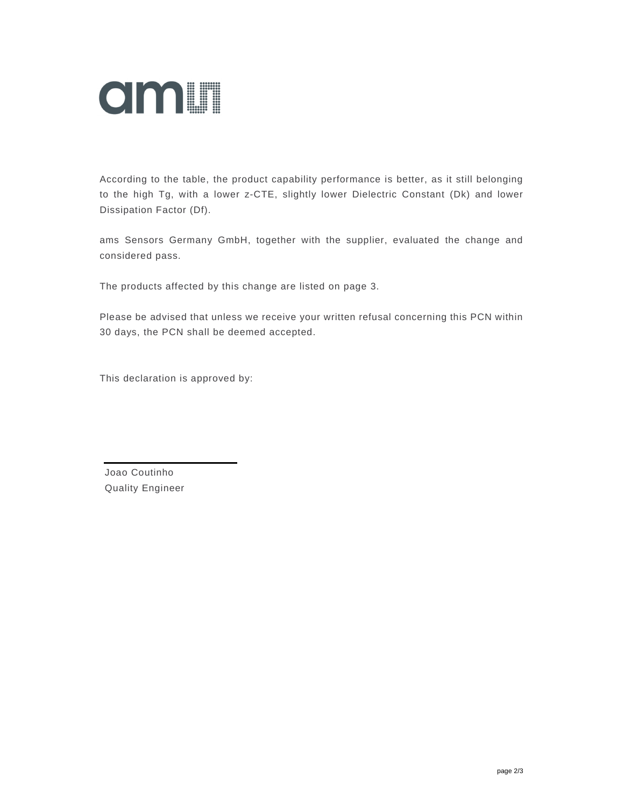

According to the table, the product capability performance is better, as it still belonging to the high Tg, with a lower z-CTE, slightly lower Dielectric Constant (Dk) and lower Dissipation Factor (Df).

ams Sensors Germany GmbH, together with the supplier, evaluated the change and considered pass.

The products affected by this change are listed on page 3.

Please be advised that unless we receive your written refusal concerning this PCN within 30 days, the PCN shall be deemed accepted.

This declaration is approved by:

Joao Coutinho Quality Engineer